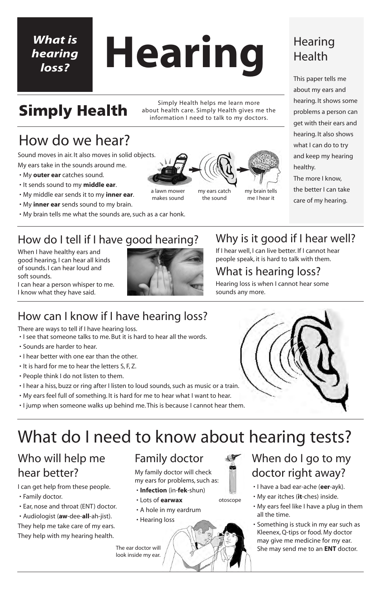otoscope

- When do I go to my doctor right away?
	- I have a bad ear-ache (**eer**-ayk).
	- My ear itches (**it**-ches) inside.
	- My ears feel like I have a plug in them all the time.
- Something is stuck in my ear such as Kleenex, Q-tips or food. My doctor may give me medicine for my ear. The ear doctor will  $\setminus$   $\setminus$   $\setminus$   $\setminus$   $\setminus$   $\setminus$   $\setminus$  She may send me to an **ENT** doctor.

# **Hearing**

### How do we hear?

### **Hearing** Health

Simply Health helps me learn more about health care. Simply Health gives me the information I need to talk to my doctors.

This paper tells me about my ears and hearing. It shows some problems a person can get with their ears and hearing. It also shows what I can do to try and keep my hearing healthy.

The more I know, the better I can take care of my hearing.

# **Simply Health**

### *What is hearing loss?*

### How do I tell if I have good hearing?

When I have healthy ears and good hearing, I can hear all kinds of sounds. I can hear loud and soft sounds.

I can hear a person whisper to me. I know what they have said.



### Why is it good if I hear well?

If I hear well, I can live better. If I cannot hear people speak, it is hard to talk with them.

### What is hearing loss?

Hearing loss is when I cannot hear some sounds any more.

Sound moves in air. It also moves in solid objects.

My ears take in the sounds around me.

- My **outer ear** catches sound.
- It sends sound to my **middle ear**.
- My middle ear sends it to my **inner ear**.
- My **inner ear** sends sound to my brain.
- My brain tells me what the sounds are, such as a car honk.

a lawn mower makes sound

my ears catch the sound

my brain tells me I hear it

### What do I need to know about hearing tests?

### Who will help me hear better?

I can get help from these people.

- Family doctor.
- Ear, nose and throat (ENT) doctor.
- Audiologist (**aw**-dee-**all**-ah-jist). They help me take care of my ears. They help with my hearing health.

### Family doctor

My family doctor will check my ears for problems, such as:

- **Infection** (in-**fek**-shun)
- Lots of **earwax**
- A hole in my eardrum
- Hearing loss



look inside my ear.

### How can I know if I have hearing loss?

There are ways to tell if I have hearing loss.

- I see that someone talks to me. But it is hard to hear all the words.
- Sounds are harder to hear.
- I hear better with one ear than the other.
- It is hard for me to hear the letters S, F, Z.
- People think I do not listen to them.
- I hear a hiss, buzz or ring after I listen to loud sounds, such as music or a train.
- My ears feel full of something. It is hard for me to hear what I want to hear.
- I jump when someone walks up behind me. This is because I cannot hear them.

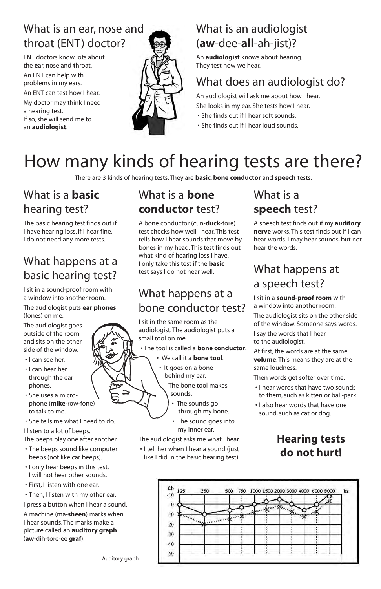### What is an ear, nose and throat (ENT) doctor?

ENT doctors know lots about the **e**ar, **n**ose and **t**hroat.

An ENT can help with problems in my ears.

An ENT can test how I hear.

My doctor may think I need a hearing test. If so, she will send me to an **audiologist**.



### What is an audiologist (**aw**-dee-**all**-ah-jist)?

An **audiologist** knows about hearing. They test how we hear.

### What does an audiologist do?

An audiologist will ask me about how I hear. She looks in my ear. She tests how I hear.

- She finds out if I hear soft sounds.
- She finds out if I hear loud sounds.

# How many kinds of hearing tests are there?

There are 3 kinds of hearing tests. They are **basic**, **bone conductor** and **speech** tests.

### What is a **basic** hearing test?

The basic hearing test finds out if I have hearing loss. If I hear fine, I do not need any more tests.

### What happens at a basic hearing test?

I sit in a sound-proof room with a window into another room.

#### The audiologist puts **ear phones** (fones) on me.

The audiologist goes outside of the room and sits on the other side of the window.

- I can see her.
- I can hear her through the ear phones.
- She uses a microphone (**mike**-row-fone) to talk to me.
- She tells me what I need to do.

#### I listen to a lot of beeps.

The beeps play one after another.

- The beeps sound like computer beeps (not like car beeps).
- I only hear beeps in this test. I will not hear other sounds.
- First, I listen with one ear.
- Then, I listen with my other ear. I press a button when I hear a sound. A machine (ma-**sheen**) marks when I hear sounds. The marks make a picture called an **auditory graph** (**aw**-dih-tore-ee **graf**).

### What is a **bone conductor** test?

A bone conductor (cun-**duck**-tore) test checks how well I hear. This test tells how I hear sounds that move by bones in my head. This test finds out what kind of hearing loss I have. I only take this test if the **basic** test says I do not hear well.

### What happens at a bone conductor test?

I sit in the same room as the audiologist. The audiologist puts a small tool on me.

• The tool is called a **bone conductor**.

- We call it a **bone tool**.
- It goes on a bone behind my ear.

The bone tool makes sounds.

- The sounds go through my bone.
- The sound goes into my inner ear.

The audiologist asks me what I hear.

• I tell her when I hear a sound (just like I did in the basic hearing test).

### What is a **speech** test?

A speech test finds out if my **auditory nerve** works. This test finds out if I can hear words. I may hear sounds, but not hear the words.

### What happens at a speech test?

I sit in a **sound-proof room** with a window into another room.

The audiologist sits on the other side of the window. Someone says words.

I say the words that I hear to the audiologist.

At first, the words are at the same **volume**. This means they are at the same loudness.

Then words get softer over time.

- I hear words that have two sounds to them, such as kitten or ball-park.
- I also hear words that have one sound, such as cat or dog.



Auditory graph

### **Hearing tests do not hurt!**

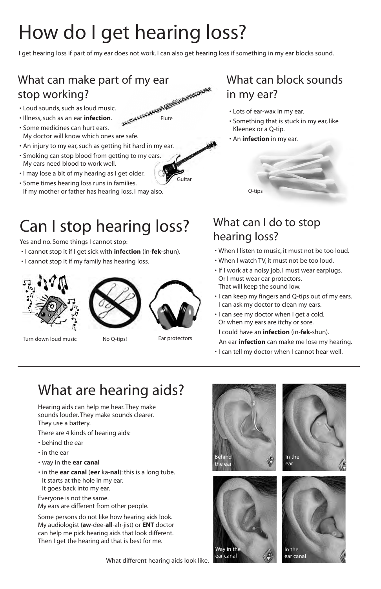# How do I get hearing loss?

I get hearing loss if part of my ear does not work. I can also get hearing loss if something in my ear blocks sound.

What different hearing aids look like.

### What can make part of my ear stop working?

- Loud sounds, such as loud music.
- Illness, such as an ear **infection**.
- Contract of the • Some medicines can hurt ears. My doctor will know which ones are safe.
- An injury to my ear, such as getting hit hard in my ear.
- Smoking can stop blood from getting to my ears. My ears need blood to work well.
- I may lose a bit of my hearing as I get older.
- Some times hearing loss runs in families. If my mother or father has hearing loss, I may also.

### What can block sounds in my ear?

- Lots of ear-wax in my ear.
- Something that is stuck in my ear, like Kleenex or a Q-tip.
- An **infection** in my ear.

## Can I stop hearing loss?

Yes and no. Some things I cannot stop:

- I cannot stop it if I get sick with **infection** (in-**fek**-shun).
- I cannot stop it if my family has hearing loss.



Turn down loud music No Q-tips! Ear protectors





### What can I do to stop hearing loss?

- When I listen to music, it must not be too loud.
- When I watch TV, it must not be too loud.
- If I work at a noisy job, I must wear earplugs. Or I must wear ear protectors. That will keep the sound low.
- I can keep my fingers and Q-tips out of my ears. I can ask my doctor to clean my ears.
- I can see my doctor when I get a cold. Or when my ears are itchy or sore.
- I could have an **infection** (in-**fek**-shun).
- An ear **infection** can make me lose my hearing.
- I can tell my doctor when I cannot hear well.



Guitar

Flute

### What are hearing aids?

Hearing aids can help me hear. They make sounds louder. They make sounds clearer. They use a battery.

There are 4 kinds of hearing aids:

- behind the ear
- in the ear
- way in the **ear canal**
- in the **ear canal** (**eer** ka-**nal**): this is a long tube. It starts at the hole in my ear. It goes back into my ear.

Everyone is not the same. My ears are different from other people.

Some persons do not like how hearing aids look. My audiologist (**aw**-dee-**all**-ah-jist) or **ENT** doctor can help me pick hearing aids that look different. Then I get the hearing aid that is best for me.

Q-tips